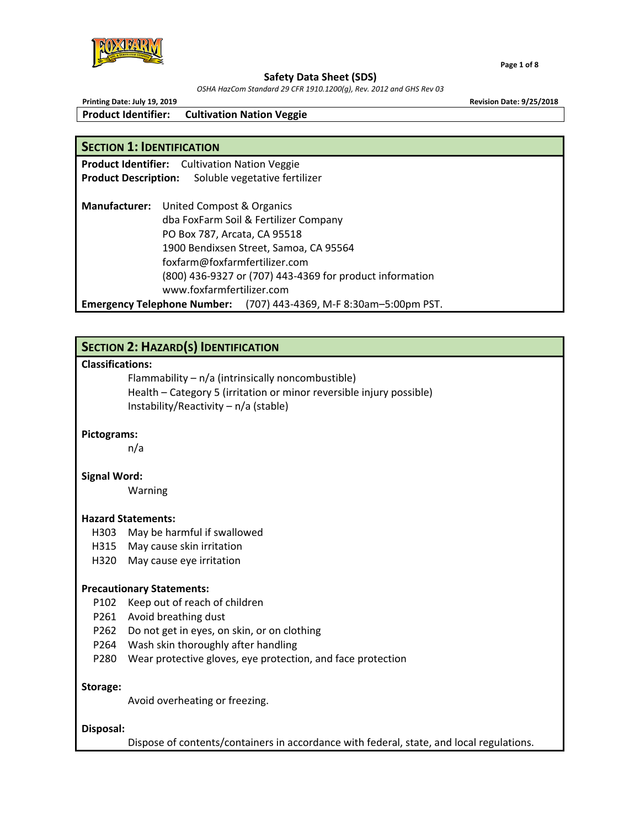

#### **Safety Data Sheet (SDS)**

*OSHA HazCom Standard 29 CFR 1910.1200(g), Rev. 2012 and GHS Rev 03*

**Product Identifier: Cultivation Nation Veggie** 

## **SECTION 1: IDENTIFICATION**

**Product Identifier:**  Cultivation Nation Veggie **Product Description:**  Soluble vegetative fertilizer

**Manufacturer:**  United Compost & Organics dba FoxFarm Soil & Fertilizer Company PO Box 787, Arcata, CA 95518 1900 Bendixsen Street, Samoa, CA 95564 foxfarm@foxfarmfertilizer.com (800) 436‐9327 or (707) 443‐4369 for product information www.foxfarmfertilizer.com **Emergency Telephone Number:**  (707) 443‐4369, M‐F 8:30am–5:00pm PST.

## **SECTION 2: HAZARD(S) IDENTIFICATION**

## **Classifications:**

 Flammability – n/a (intrinsically noncombustible) Health – Category 5 (irritation or minor reversible injury possible) Instability/Reactivity – n/a (stable)

## **Pictograms:**

n/a

#### **Signal Word:**

Warning

#### **Hazard Statements:**

- H303 May be harmful if swallowed
- H315 May cause skin irritation
- H320 May cause eye irritation

#### **Precautionary Statements:**

- P102 Keep out of reach of children
- P261 Avoid breathing dust
- P262 Do not get in eyes, on skin, or on clothing
- P264 Wash skin thoroughly after handling
- P280 Wear protective gloves, eye protection, and face protection

#### **Storage:**

Avoid overheating or freezing.

#### **Disposal:**

Dispose of contents/containers in accordance with federal, state, and local regulations.



**Printing Date: July 19, 2019 Revision Date: 9/25/2018**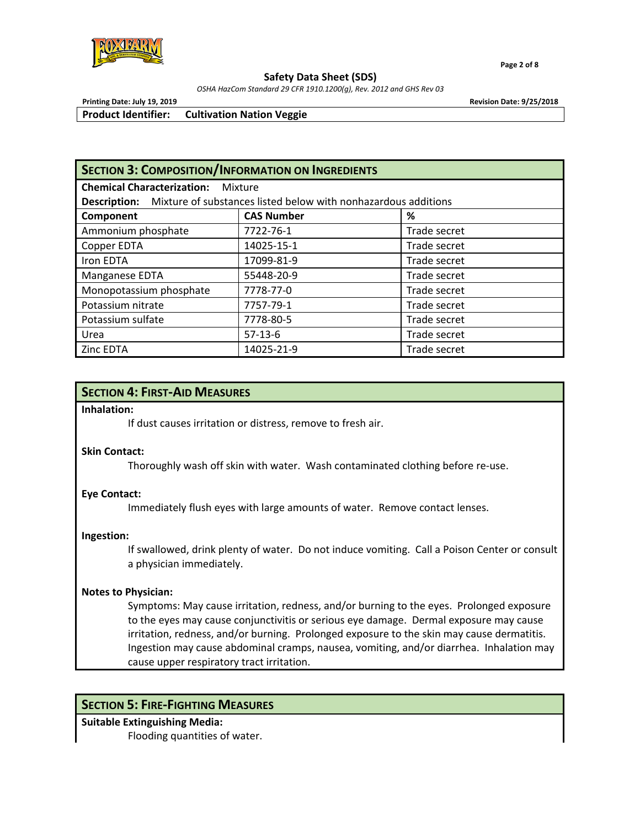

 **Page 2 of 8**

**Safety Data Sheet (SDS)** 

*OSHA HazCom Standard 29 CFR 1910.1200(g), Rev. 2012 and GHS Rev 03*

**Printing Date: July 19, 2019 Revision Date: 9/25/2018**

**Product Identifier: Cultivation Nation Veggie** 

| <b>SECTION 3: COMPOSITION/INFORMATION ON INGREDIENTS</b>                           |                   |              |  |  |
|------------------------------------------------------------------------------------|-------------------|--------------|--|--|
| <b>Chemical Characterization:</b><br>Mixture                                       |                   |              |  |  |
| <b>Description:</b> Mixture of substances listed below with nonhazardous additions |                   |              |  |  |
| Component                                                                          | <b>CAS Number</b> | ℅            |  |  |
| Ammonium phosphate                                                                 | 7722-76-1         | Trade secret |  |  |
| Copper EDTA                                                                        | 14025-15-1        | Trade secret |  |  |
| Iron EDTA                                                                          | 17099-81-9        | Trade secret |  |  |
| Manganese EDTA                                                                     | 55448-20-9        | Trade secret |  |  |
| Monopotassium phosphate                                                            | 7778-77-0         | Trade secret |  |  |
| Potassium nitrate                                                                  | 7757-79-1         | Trade secret |  |  |
| Potassium sulfate                                                                  | 7778-80-5         | Trade secret |  |  |
| Urea                                                                               | $57-13-6$         | Trade secret |  |  |
| Zinc EDTA                                                                          | 14025-21-9        | Trade secret |  |  |

## **SECTION 4: FIRST‐AID MEASURES**

#### **Inhalation:**

If dust causes irritation or distress, remove to fresh air.

#### **Skin Contact:**

Thoroughly wash off skin with water. Wash contaminated clothing before re‐use.

## **Eye Contact:**

Immediately flush eyes with large amounts of water. Remove contact lenses.

#### **Ingestion:**

If swallowed, drink plenty of water. Do not induce vomiting. Call a Poison Center or consult a physician immediately.

## **Notes to Physician:**

Symptoms: May cause irritation, redness, and/or burning to the eyes. Prolonged exposure to the eyes may cause conjunctivitis or serious eye damage. Dermal exposure may cause irritation, redness, and/or burning. Prolonged exposure to the skin may cause dermatitis. Ingestion may cause abdominal cramps, nausea, vomiting, and/or diarrhea. Inhalation may cause upper respiratory tract irritation.

## **SECTION 5: FIRE‐FIGHTING MEASURES**

# **Suitable Extinguishing Media:**

Flooding quantities of water.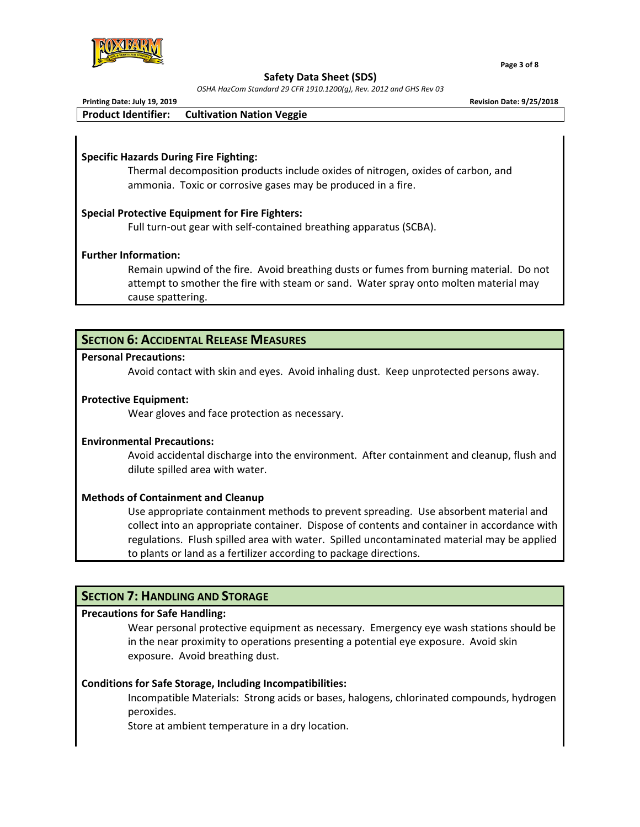

 **Page 3 of 8**

#### **Safety Data Sheet (SDS)**

*OSHA HazCom Standard 29 CFR 1910.1200(g), Rev. 2012 and GHS Rev 03*

| Printing Date: July 19, 2019 |                                                      | <b>Revision Date: 9/25/2018</b> |
|------------------------------|------------------------------------------------------|---------------------------------|
|                              | <b>Product Identifier:</b> Cultivation Nation Veggie |                                 |
|                              |                                                      |                                 |

### **Specific Hazards During Fire Fighting:**

Thermal decomposition products include oxides of nitrogen, oxides of carbon, and ammonia. Toxic or corrosive gases may be produced in a fire.

### **Special Protective Equipment for Fire Fighters:**

Full turn‐out gear with self‐contained breathing apparatus (SCBA).

### **Further Information:**

Remain upwind of the fire. Avoid breathing dusts or fumes from burning material. Do not attempt to smother the fire with steam or sand. Water spray onto molten material may cause spattering.

## **SECTION 6: ACCIDENTAL RELEASE MEASURES**

#### **Personal Precautions:**

Avoid contact with skin and eyes. Avoid inhaling dust. Keep unprotected persons away.

#### **Protective Equipment:**

Wear gloves and face protection as necessary.

#### **Environmental Precautions:**

Avoid accidental discharge into the environment. After containment and cleanup, flush and dilute spilled area with water.

#### **Methods of Containment and Cleanup**

Use appropriate containment methods to prevent spreading. Use absorbent material and collect into an appropriate container. Dispose of contents and container in accordance with regulations. Flush spilled area with water. Spilled uncontaminated material may be applied to plants or land as a fertilizer according to package directions.

### **SECTION 7: HANDLING AND STORAGE**

#### **Precautions for Safe Handling:**

 Wear personal protective equipment as necessary. Emergency eye wash stations should be in the near proximity to operations presenting a potential eye exposure. Avoid skin exposure. Avoid breathing dust.

#### **Conditions for Safe Storage, Including Incompatibilities:**

Incompatible Materials: Strong acids or bases, halogens, chlorinated compounds, hydrogen peroxides.

Store at ambient temperature in a dry location.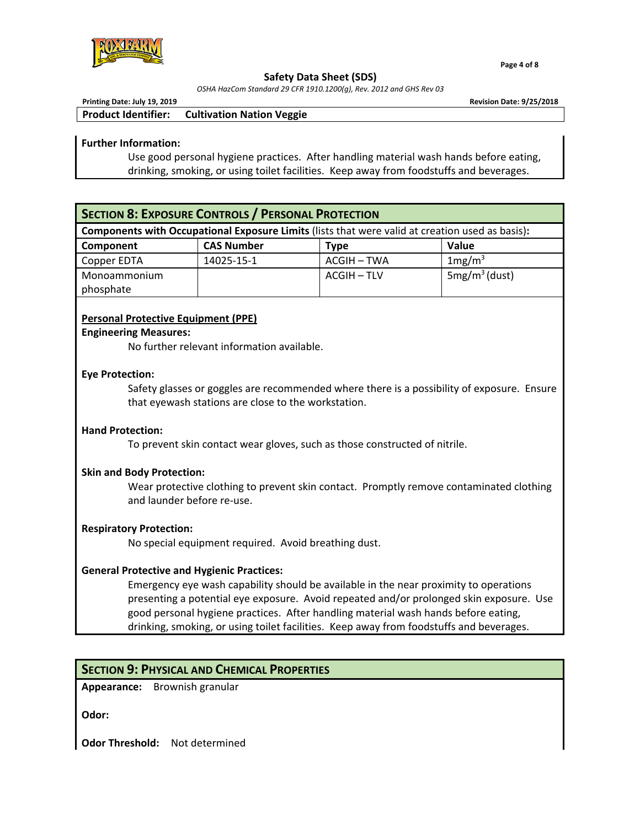

 **Page 4 of 8**

#### **Safety Data Sheet (SDS)**

*OSHA HazCom Standard 29 CFR 1910.1200(g), Rev. 2012 and GHS Rev 03*

| Printing Date: July 19, 2019 |                                                      | <b>Revision Date: 9/25/2018</b> |
|------------------------------|------------------------------------------------------|---------------------------------|
|                              | <b>Product Identifier:</b> Cultivation Nation Veggie |                                 |

### **Further Information:**

Use good personal hygiene practices. After handling material wash hands before eating, drinking, smoking, or using toilet facilities. Keep away from foodstuffs and beverages.

## **SECTION 8: EXPOSURE CONTROLS / PERSONAL PROTECTION**

**Components with Occupational Exposure Limits** (lists that were valid at creation used as basis)**:** 

| Component    | <b>CAS Number</b> | Type        | Value              |
|--------------|-------------------|-------------|--------------------|
| Copper EDTA  | 14025-15-1        | ACGIH – TWA | 1mg/m <sup>3</sup> |
| Monoammonium |                   | ACGIH – TLV | $5mg/m3$ (dust)    |
| phosphate    |                   |             |                    |

## **Personal Protective Equipment (PPE)**

#### **Engineering Measures:**

No further relevant information available.

### **Eye Protection:**

Safety glasses or goggles are recommended where there is a possibility of exposure. Ensure that eyewash stations are close to the workstation.

## **Hand Protection:**

To prevent skin contact wear gloves, such as those constructed of nitrile.

## **Skin and Body Protection:**

Wear protective clothing to prevent skin contact. Promptly remove contaminated clothing and launder before re‐use.

## **Respiratory Protection:**

No special equipment required. Avoid breathing dust.

## **General Protective and Hygienic Practices:**

Emergency eye wash capability should be available in the near proximity to operations presenting a potential eye exposure. Avoid repeated and/or prolonged skin exposure. Use good personal hygiene practices. After handling material wash hands before eating, drinking, smoking, or using toilet facilities. Keep away from foodstuffs and beverages.

## **SECTION 9: PHYSICAL AND CHEMICAL PROPERTIES**

**Appearance:** Brownish granular

**Odor:**

**Odor Threshold:**  Not determined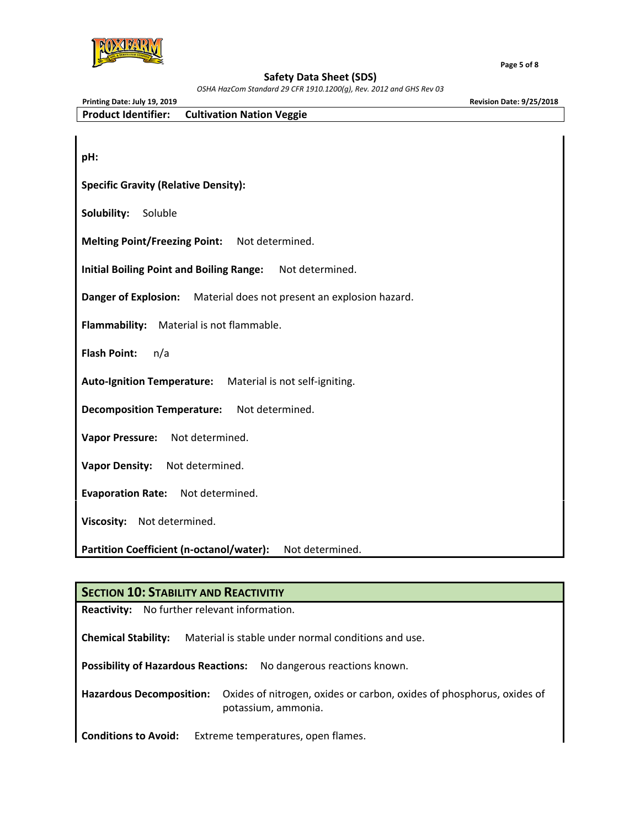

 **Page 5 of 8**

#### **Safety Data Sheet (SDS)**

*OSHA HazCom Standard 29 CFR 1910.1200(g), Rev. 2012 and GHS Rev 03* **Printing Date: July 19, 2019 Revision Date: 9/25/2018 Product Identifier: Cultivation Nation Veggie pH: Specific Gravity (Relative Density): Solubility:**  Soluble **Melting Point/Freezing Point:**  Not determined. **Initial Boiling Point and Boiling Range:**  Not determined. **Danger of Explosion:**  Material does not present an explosion hazard. **Flammability:**  Material is not flammable. **Flash Point:**  n/a **Auto‐Ignition Temperature:**  Material is not self‐igniting. **Decomposition Temperature:**  Not determined. **Vapor Pressure:**  Not determined. **Vapor Density:**  Not determined. **Evaporation Rate:**  Not determined. **Viscosity:**  Not determined. **Partition Coefficient (n‐octanol/water):**  Not determined.

## **SECTION 10: STABILITY AND REACTIVITIY**

**Reactivity:** No further relevant information.

**Chemical Stability:**  Material is stable under normal conditions and use.

**Possibility of Hazardous Reactions:**  No dangerous reactions known.

**Hazardous Decomposition:**  Oxides of nitrogen, oxides or carbon, oxides of phosphorus, oxides of potassium, ammonia.

**Conditions to Avoid:**  Extreme temperatures, open flames.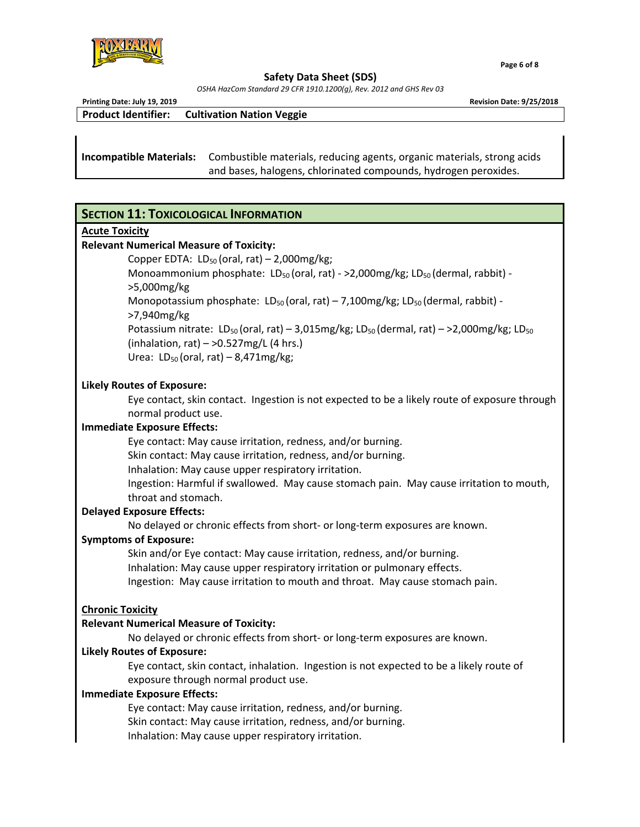

 $\blacksquare$  . The set of the set of the set of the set of the set of the set of the set of the set of the set of the set of the set of the set of the set of the set of the set of the set of the set of the set of the set of the

**Safety Data Sheet (SDS)** 

*OSHA HazCom Standard 29 CFR 1910.1200(g), Rev. 2012 and GHS Rev 03*

| Printing Date: July 19, 2019   | <b>Revision Date: 9/25/2018</b>                                         |
|--------------------------------|-------------------------------------------------------------------------|
| <b>Product Identifier:</b>     | <b>Cultivation Nation Veggie</b>                                        |
|                                |                                                                         |
|                                |                                                                         |
| <b>Incompatible Materials:</b> | Combustible materials, reducing agents, organic materials, strong acids |
|                                | and bases, halogens, chlorinated compounds, hydrogen peroxides.         |

## **SECTION 11: TOXICOLOGICAL INFORMATION**

#### **Acute Toxicity**

## **Relevant Numerical Measure of Toxicity:**

Copper EDTA:  $LD_{50}$  (oral, rat) – 2,000mg/kg; Monoammonium phosphate: LD<sub>50</sub> (oral, rat) - >2,000mg/kg; LD<sub>50</sub> (dermal, rabbit) ->5,000mg/kg Monopotassium phosphate:  $LD_{50}$  (oral, rat) – 7,100mg/kg;  $LD_{50}$  (dermal, rabbit) ->7,940mg/kg Potassium nitrate:  $LD_{50}$  (oral, rat) – 3,015mg/kg;  $LD_{50}$  (dermal, rat) – >2,000mg/kg;  $LD_{50}$ 

(inhalation, rat)  $-$  >0.527mg/L (4 hrs.) Urea:  $LD_{50}$  (oral, rat) – 8,471mg/kg;

## **Likely Routes of Exposure:**

 Eye contact, skin contact. Ingestion is not expected to be a likely route of exposure through normal product use.

## **Immediate Exposure Effects:**

 Eye contact: May cause irritation, redness, and/or burning. Skin contact: May cause irritation, redness, and/or burning. Inhalation: May cause upper respiratory irritation. Ingestion: Harmful if swallowed. May cause stomach pain. May cause irritation to mouth, throat and stomach.

## **Delayed Exposure Effects:**

No delayed or chronic effects from short‐ or long‐term exposures are known.

## **Symptoms of Exposure:**

 Skin and/or Eye contact: May cause irritation, redness, and/or burning. Inhalation: May cause upper respiratory irritation or pulmonary effects. Ingestion: May cause irritation to mouth and throat. May cause stomach pain.

## **Chronic Toxicity**

## **Relevant Numerical Measure of Toxicity:**

No delayed or chronic effects from short‐ or long‐term exposures are known.

## **Likely Routes of Exposure:**

Eye contact, skin contact, inhalation. Ingestion is not expected to be a likely route of exposure through normal product use.

## **Immediate Exposure Effects:**

Eye contact: May cause irritation, redness, and/or burning. Skin contact: May cause irritation, redness, and/or burning. Inhalation: May cause upper respiratory irritation.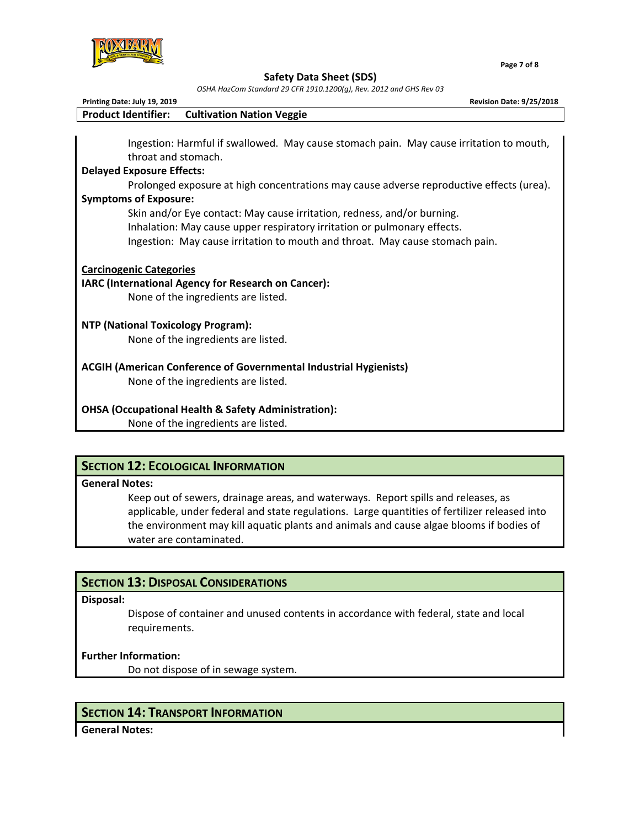

**Safety Data Sheet (SDS)** 

*OSHA HazCom Standard 29 CFR 1910.1200(g), Rev. 2012 and GHS Rev 03*

| Printing Date: July 19, 2019<br><b>Revision Date: 9/25/2018</b>                                                              |
|------------------------------------------------------------------------------------------------------------------------------|
| <b>Product Identifier:</b><br><b>Cultivation Nation Veggie</b>                                                               |
|                                                                                                                              |
| Ingestion: Harmful if swallowed. May cause stomach pain. May cause irritation to mouth,<br>throat and stomach.               |
|                                                                                                                              |
| <b>Delayed Exposure Effects:</b>                                                                                             |
| Prolonged exposure at high concentrations may cause adverse reproductive effects (urea).                                     |
| <b>Symptoms of Exposure:</b>                                                                                                 |
| Skin and/or Eye contact: May cause irritation, redness, and/or burning.                                                      |
| Inhalation: May cause upper respiratory irritation or pulmonary effects.                                                     |
| Ingestion: May cause irritation to mouth and throat. May cause stomach pain.                                                 |
| <b>Carcinogenic Categories</b><br>IARC (International Agency for Research on Cancer):<br>None of the ingredients are listed. |
| <b>NTP (National Toxicology Program):</b>                                                                                    |
| None of the ingredients are listed.                                                                                          |
| <b>ACGIH (American Conference of Governmental Industrial Hygienists)</b>                                                     |
| None of the ingredients are listed.                                                                                          |
| <b>OHSA (Occupational Health &amp; Safety Administration):</b>                                                               |
| None of the ingredients are listed.                                                                                          |

# **SECTION 12: ECOLOGICAL INFORMATION**

#### **General Notes:**

 Keep out of sewers, drainage areas, and waterways. Report spills and releases, as applicable, under federal and state regulations. Large quantities of fertilizer released into the environment may kill aquatic plants and animals and cause algae blooms if bodies of water are contaminated.

# **SECTION 13: DISPOSAL CONSIDERATIONS**

#### **Disposal:**

 Dispose of container and unused contents in accordance with federal, state and local requirements.

## **Further Information:**

Do not dispose of in sewage system.

# **SECTION 14: TRANSPORT INFORMATION**

**General Notes:**